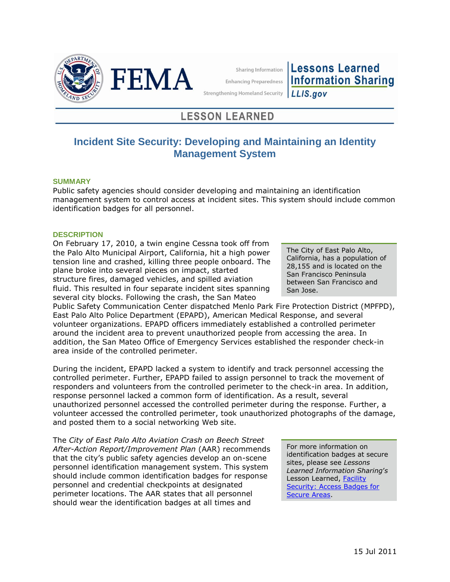

Sharing Information **Enhancing Preparedness** 

**Lessons Learned Information Sharing** LLIS.gov

**Strengthening Homeland Security** 

# **LESSON LEARNED**

# **Incident Site Security: Developing and Maintaining an Identity Management System**

## **SUMMARY**

Public safety agencies should consider developing and maintaining an identification management system to control access at incident sites. This system should include common identification badges for all personnel.

## **DESCRIPTION**

On February 17, 2010, a twin engine Cessna took off from the Palo Alto Municipal Airport, California, hit a high power tension line and crashed, killing three people onboard. The plane broke into several pieces on impact, started structure fires, damaged vehicles, and spilled aviation fluid. This resulted in four separate incident sites spanning several city blocks. Following the crash, the San Mateo

The City of East Palo Alto, California, has a population of 28,155 and is located on the San Francisco Peninsula between San Francisco and San Jose.

Public Safety Communication Center dispatched Menlo Park Fire Protection District (MPFPD), East Palo Alto Police Department (EPAPD), American Medical Response, and several volunteer organizations. EPAPD officers immediately established a controlled perimeter around the incident area to prevent unauthorized people from accessing the area. In addition, the San Mateo Office of Emergency Services established the responder check-in area inside of the controlled perimeter.

During the incident, EPAPD lacked a system to identify and track personnel accessing the controlled perimeter. Further, EPAPD failed to assign personnel to track the movement of responders and volunteers from the controlled perimeter to the check-in area. In addition, response personnel lacked a common form of identification. As a result, several unauthorized personnel accessed the controlled perimeter during the response. Further, a volunteer accessed the controlled perimeter, took unauthorized photographs of the damage, and posted them to a social networking Web site.

The *City of East Palo Alto Aviation Crash on Beech Street After-Action Report/Improvement Plan* (AAR) recommends that the city's public safety agencies develop an on-scene personnel identification management system. This system should include common identification badges for response personnel and credential checkpoints at designated perimeter locations. The AAR states that all personnel should wear the identification badges at all times and

For more information on identification badges at secure sites, please see *Lessons Learned Information Sharing*'*s*  Lesson Learned, Facility [Security: Access Badges for](https://www.llis.dhs.gov/docdetails/details.do?contentID=33273)  [Secure Areas.](https://www.llis.dhs.gov/docdetails/details.do?contentID=33273)